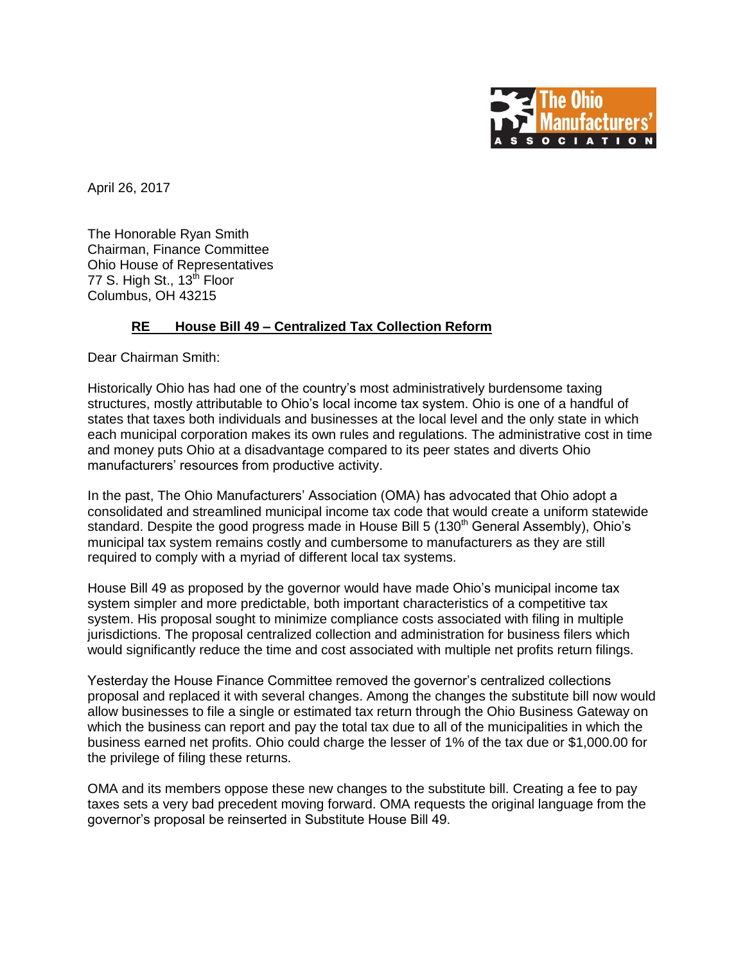

April 26, 2017

The Honorable Ryan Smith Chairman, Finance Committee Ohio House of Representatives 77 S. High St., 13<sup>th</sup> Floor Columbus, OH 43215

## **RE House Bill 49 – Centralized Tax Collection Reform**

Dear Chairman Smith:

Historically Ohio has had one of the country's most administratively burdensome taxing structures, mostly attributable to Ohio's local income tax system. Ohio is one of a handful of states that taxes both individuals and businesses at the local level and the only state in which each municipal corporation makes its own rules and regulations. The administrative cost in time and money puts Ohio at a disadvantage compared to its peer states and diverts Ohio manufacturers' resources from productive activity.

In the past, The Ohio Manufacturers' Association (OMA) has advocated that Ohio adopt a consolidated and streamlined municipal income tax code that would create a uniform statewide standard. Despite the good progress made in House Bill 5 (130<sup>th</sup> General Assembly), Ohio's municipal tax system remains costly and cumbersome to manufacturers as they are still required to comply with a myriad of different local tax systems.

House Bill 49 as proposed by the governor would have made Ohio's municipal income tax system simpler and more predictable, both important characteristics of a competitive tax system. His proposal sought to minimize compliance costs associated with filing in multiple jurisdictions. The proposal centralized collection and administration for business filers which would significantly reduce the time and cost associated with multiple net profits return filings.

Yesterday the House Finance Committee removed the governor's centralized collections proposal and replaced it with several changes. Among the changes the substitute bill now would allow businesses to file a single or estimated tax return through the Ohio Business Gateway on which the business can report and pay the total tax due to all of the municipalities in which the business earned net profits. Ohio could charge the lesser of 1% of the tax due or \$1,000.00 for the privilege of filing these returns.

OMA and its members oppose these new changes to the substitute bill. Creating a fee to pay taxes sets a very bad precedent moving forward. OMA requests the original language from the governor's proposal be reinserted in Substitute House Bill 49.